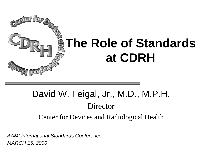

## David W. Feigal, Jr., M.D., M.P.H. Director

Center for Devices and Radiological Health

*AAMI International Standards Conference MARCH 15, 2000*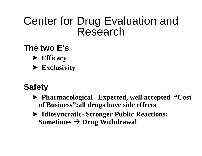### Center for Drug Evaluation and Research

#### **The two E's**

- ?**Efficacy**
- ?**Exclusivity**

#### **Safety**

- ?**Pharmacological –Expected, well accepted "Cost of Business";all drugs have side effects**
- ?**Idiosyncratic- Stronger Public Reactions; Sometimes**  $\rightarrow$  **Drug Withdrawal**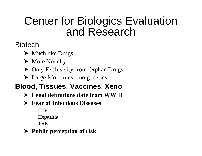### Center for Biologics Evaluation and Research

#### **B**iotech

- $\blacktriangleright$  Much like Drugs
- ▶ More Novelty
- Only Exclusivity from Orphan Drugs
- $\blacktriangleright$  Large Molecules no generics

#### **Blood, Tissues, Vaccines, Xeno**

- ?**Legal definitions date from WW II**
- ?**Fear of Infectious Diseases**
	- **HIV**
	- **Hepatitis**
	- **TSE**
- ?**Public perception of risk**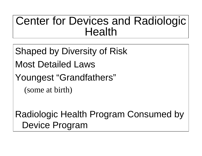### Center for Devices and Radiologic Health

Shaped by Diversity of Risk Most Detailed Laws Youngest "Grandfathers" (some at birth)

Radiologic Health Program Consumed by Device Program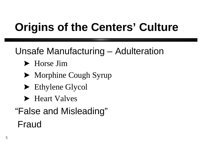# **Origins of the Centers' Culture**

Unsafe Manufacturing – Adulteration

- Horse Jim
- Morphine Cough Syrup
- ▶ Ethylene Glycol
- ▶ Heart Valves
- "False and Misleading" Fraud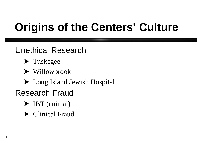# **Origins of the Centers' Culture**

Unethical Research

- $\blacktriangleright$  Tuskegee
- ▶ Willowbrook
- ▶ Long Island Jewish Hospital
- Research Fraud
	- **>** IBT (animal)
	- $\blacktriangleright$  Clinical Fraud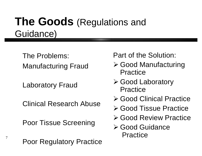### **The Goods** (Regulations and Guidance)

The Problems: Manufacturing Fraud

Laboratory Fraud

7

Clinical Research Abuse

Poor Tissue Screening

Poor Regulatory Practice

Part of the Solution:

- **≽ Good Manufacturing** Practice
- **≽ Good Laboratory** Practice
- **≽ Good Clinical Practice**
- **≽ Good Tissue Practice**
- **≽ Good Review Practice**
- **≽ Good Guidance Practice**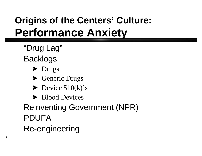## **Origins of the Centers' Culture: Performance Anxiety**

- "Drug Lag" Backlogs
	- $\blacktriangleright$  Drugs
	- Generic Drugs
	- $\blacktriangleright$  Device 510(k)'s
	- ▶ Blood Devices

Reinventing Government (NPR) PDUFA Re-engineering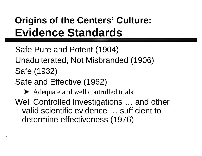## **Origins of the Centers' Culture: Evidence Standards**

Safe Pure and Potent (1904) Unadulterated, Not Misbranded (1906) Safe (1932)

Safe and Effective (1962)

Adequate and well controlled trials

Well Controlled Investigations … and other valid scientific evidence … sufficient to determine effectiveness (1976)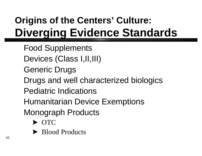## **Origins of the Centers' Culture: Diverging Evidence Standards**

Food Supplements Devices (Class I,II,III) Generic Drugs Drugs and well characterized biologics Pediatric Indications Humanitarian Device Exemptions Monograph Products  $\blacktriangleright$  OTC

▶ Blood Products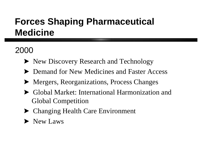### **Forces Shaping Pharmaceutical Medicine**

#### 2000

- riangleright New Discovery Research and Technology
- **EXECUTE:** Demand for New Medicines and Faster Access
- Mergers, Reorganizations, Process Changes
- ?Global Market: International Harmonization and Global Competition
- ▶ Changing Health Care Environment
- $\blacktriangleright$  New Laws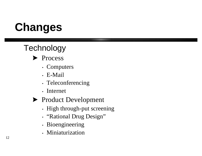# **Changes**

### **Technology**



- Computers
- E-Mail
- Teleconferencing
- Internet
- ▶ Product Development
	- High through-put screening
	- "Rational Drug Design"
	- Bioengineering
	- Miniaturization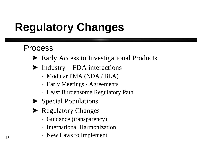# **Regulatory Changes**

#### Process

- ▶ Early Access to Investigational Products
- $\blacktriangleright$  Industry FDA interactions
	- Modular PMA (NDA / BLA)
	- Early Meetings / Agreements
	- Least Burdensome Regulatory Path
- $\blacktriangleright$  Special Populations
- ▶ Regulatory Changes
	- Guidance (transparency)
	- International Harmonization
	- New Laws to Implement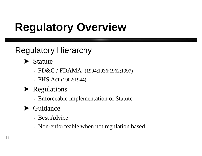# **Regulatory Overview**

### Regulatory Hierarchy

- $\blacktriangleright$  Statute
	- FD&C / FDAMA  $(1904; 1936; 1962; 1997)$
	- PHS Act (1902;1944)
- $\blacktriangleright$  Regulations
	- Enforceable implementation of Statute

#### $\blacktriangleright$  Guidance

- Best Advice
- Non-enforceable when not regulation based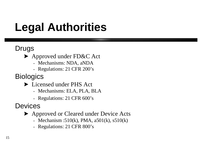# **Legal Authorities**

#### Drugs

- ▶ Approved under FD&C Act
	- Mechanisms: NDA, aNDA
	- Regulations: 21 CFR 200's

#### **Biologics**

- ▶ Licensed under PHS Act
	- Mechanisms: ELA, PLA, BLA
	- Regulations: 21 CFR 600's

#### **Devices**

- ▶ Approved or Cleared under Device Acts
	- Mechanism :510(k), PMA,  $a501(k)$ ,  $s510(k)$
	- Regulations: 21 CFR 800's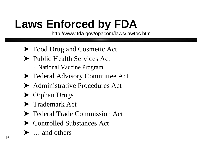# **Laws Enforced by FDA**

http://www.fda.gov/opacom/laws/lawtoc.htm

- ▶ Food Drug and Cosmetic Act
- **Public Health Services Act** 
	- National Vaccine Program
- **Exercice Act** Federal Advisory Committee Act
- Administrative Procedures Act
- ▶ Orphan Drugs
- **Trademark Act**
- **Example 21 Federal Trade Commission Act**
- ▶ Controlled Substances Act
- $\blacktriangleright$  ... and others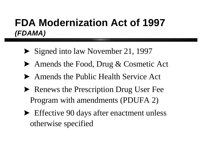### **FDA Modernization Act of 1997** *(FDAMA)*

- $\blacktriangleright$  Signed into law November 21, 1997
- ▶ Amends the Food, Drug & Cosmetic Act
- ?Amends the Public Health Service Act
- Renews the Prescription Drug User Fee Program with amendments (PDUFA 2)
- **Effective 90 days after enactment unless** otherwise specified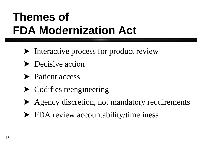# **Themes of FDA Modernization Act**

- Interactive process for product review
- **Decisive action**
- rient access
- $\blacktriangleright$  Codifies reengineering
- ?Agency discretion, not mandatory requirements
- FDA review accountability/timeliness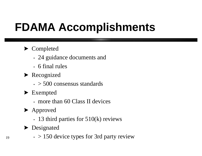# **FDAMA Accomplishments**

#### ▶ Completed

- 24 guidance documents and
- 6 final rules
- $\blacktriangleright$  Recognized
	- $\cdot$  > 500 consensus standards
- ▶ Exempted
	- more than 60 Class II devices
- ▶ Approved
	- 13 third parties for 510(k) reviews
- Designated
	- $\cdot$  > 150 device types for 3rd party review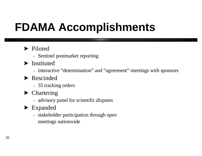# **FDAMA Accomplishments**

#### riloted

- Sentinel postmarket reporting
- $\blacktriangleright$  Instituted
	- interactive "determination" and "agreement" meetings with sponsors
- Rescinded
	- 55 tracking orders
- $\blacktriangleright$  Chartering
	- advisory panel for scientific disputes
- $\blacktriangleright$  Expanded
	- stakeholder participation through open meetings nationwide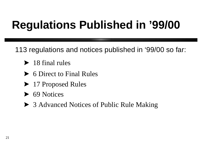# **Regulations Published in '99/00**

113 regulations and notices published in '99/00 so far:

- $\blacktriangleright$  18 final rules
- ▶ 6 Direct to Final Rules
- ▶ 17 Proposed Rules
- $\triangleright$  69 Notices
- ▶ 3 Advanced Notices of Public Rule Making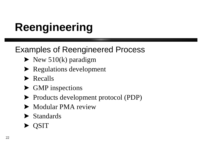# **Reengineering**

#### Examples of Reengineered Process

- $\blacktriangleright$  New 510(k) paradigm
- $\blacktriangleright$  Regulations development
- $\blacktriangleright$  Recalls
- GMP inspections
- roducts development protocol (PDP)
- Modular PMA review
- $\blacktriangleright$  Standards
- **QSIT**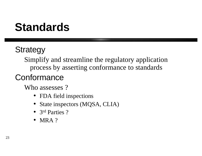# **Standards**

### **Strategy**

Simplify and streamline the regulatory application process by asserting conformance to standards

### **Conformance**

Who assesses?

- FDA field inspections
- State inspectors (MQSA, CLIA)
- 3<sup>rd</sup> Parties ?
- MRA ?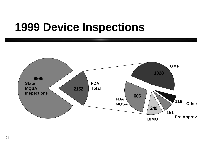## **1999 Device Inspections**

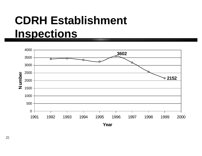# **CDRH Establishment Inspections**

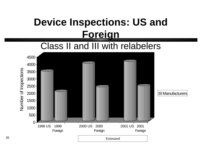#### Class II and III with relabelers

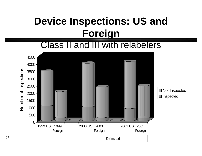#### Class II and III with relabelers

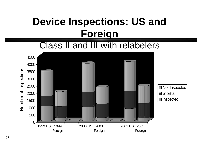#### Class II and III with relabelers



28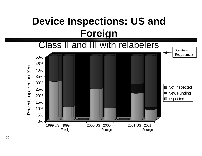

29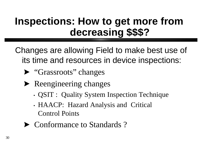### **Inspections: How to get more from decreasing \$\$\$?**

Changes are allowing Field to make best use of its time and resources in device inspections:

- ▶ "Grassroots" changes
- $\blacktriangleright$  Reengineering changes
	- QSIT : Quality System Inspection Technique
	- HAACP: Hazard Analysis and Critical Control Points
- Conformance to Standards?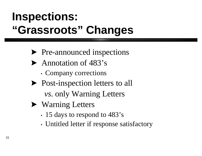# **Inspections: "Grassroots" Changes**

- re-announced inspections
- $\blacktriangleright$  Annotation of 483's
	- Company corrections
- riangleright Post-inspection letters to all  *vs*. only Warning Letters
- ▶ Warning Letters
	- 15 days to respond to 483's
	- Untitled letter if response satisfactory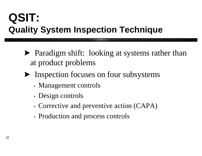### **QSIT: Quality System Inspection Technique**

- Paradigm shift: looking at systems rather than at product problems
- **Inspection focuses on four subsystems** 
	- Management controls
	- Design controls
	- Corrective and preventive action (CAPA)
	- Production and process controls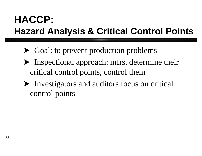### **HACCP: Hazard Analysis & Critical Control Points**

- Goal: to prevent production problems
- Inspectional approach: mfrs. determine their critical control points, control them
- Investigators and auditors focus on critical control points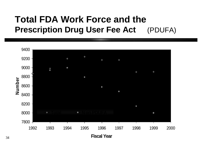#### **Total FDA Work Force and the Prescription Drug User Fee Act** (PDUFA)

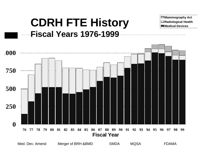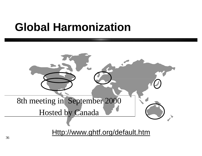## **Global Harmonization**

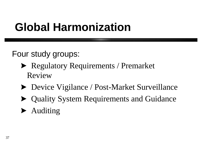## **Global Harmonization**

Four study groups:

- **EXECUTE:** Regulatory Requirements / Premarket Review
- ▶ Device Vigilance / Post-Market Surveillance
- Quality System Requirements and Guidance
- $\blacktriangleright$  Auditing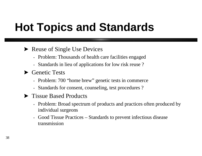# **Hot Topics and Standards**

#### $\blacktriangleright$  Reuse of Single Use Devices

- Problem: Thousands of health care facilities engaged
- Standards in lieu of applications for low risk reuse ?
- $\blacktriangleright$  Genetic Tests
	- Problem: 700 "home brew" genetic tests in commerce
	- Standards for consent, counseling, test procedures ?
- ▶ Tissue Based Products
	- Problem: Broad spectrum of products and practices often produced by individual surgeons
	- Good Tissue Practices Standards to prevent infectious disease transmission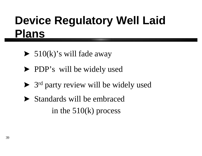# **Device Regulatory Well Laid Plans**

- $\blacktriangleright$  510(k)'s will fade away
- **PDP**'s will be widely used
- S<sup>rd</sup> party review will be widely used
- Standards will be embraced in the 510(k) process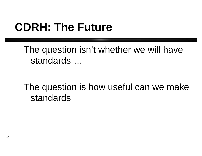# **CDRH: The Future**

The question isn't whether we will have standards …

The question is how useful can we make standards